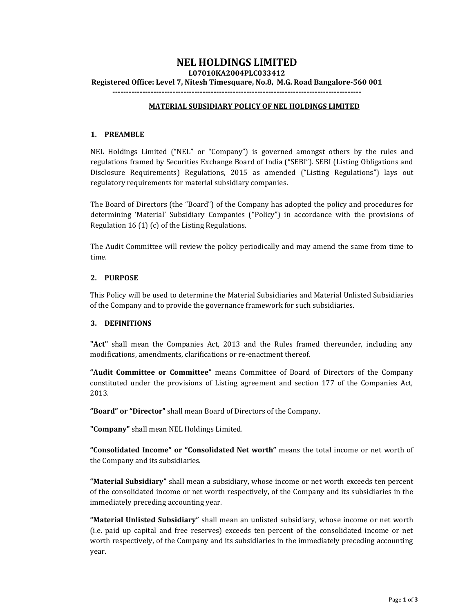# **NEL HOLDINGS LIMITED**

**L07010KA2004PLC033412**

**Registered Office: Level 7, Nitesh Timesquare, No.8, M.G. Road Bangalore-560 001**

**-------------------------------------------------------------------------------------------**

### **MATERIAL SUBSIDIARY POLICY OF NEL HOLDINGS LIMITED**

### **1. PREAMBLE**

NEL Holdings Limited ("NEL" or "Company") is governed amongst others by the rules and regulations framed by Securities Exchange Board of India ("SEBI"). SEBI (Listing Obligations and Disclosure Requirements) Regulations, 2015 as amended ("Listing Regulations") lays out regulatory requirements for material subsidiary companies.

The Board of Directors (the "Board") of the Company has adopted the policy and procedures for determining 'Material' Subsidiary Companies ("Policy") in accordance with the provisions of Regulation 16 (1) (c) of the Listing Regulations.

The Audit Committee will review the policy periodically and may amend the same from time to time.

## **2. PURPOSE**

This Policy will be used to determine the Material Subsidiaries and Material Unlisted Subsidiaries of the Company and to provide the governance framework for such subsidiaries.

#### **3. DEFINITIONS**

**"Act"** shall mean the Companies Act, 2013 and the Rules framed thereunder, including any modifications, amendments, clarifications or re-enactment thereof.

**"Audit Committee or Committee"** means Committee of Board of Directors of the Company constituted under the provisions of Listing agreement and section 177 of the Companies Act, 2013.

**"Board" or "Director"** shall mean Board of Directors of the Company.

**"Company"** shall mean NEL Holdings Limited.

**"Consolidated Income" or "Consolidated Net worth"** means the total income or net worth of the Company and its subsidiaries.

**"Material Subsidiary"** shall mean a subsidiary, whose income or net worth exceeds ten percent of the consolidated income or net worth respectively, of the Company and its subsidiaries in the immediately preceding accounting year.

**"Material Unlisted Subsidiary"** shall mean an unlisted subsidiary, whose income or net worth (i.e. paid up capital and free reserves) exceeds ten percent of the consolidated income or net worth respectively, of the Company and its subsidiaries in the immediately preceding accounting year.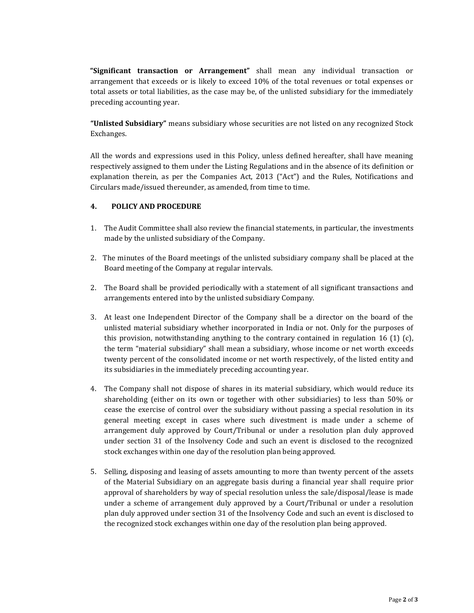**"Significant transaction or Arrangement"** shall mean any individual transaction or arrangement that exceeds or is likely to exceed 10% of the total revenues or total expenses or total assets or total liabilities, as the case may be, of the unlisted subsidiary for the immediately preceding accounting year.

**"Unlisted Subsidiary"** means subsidiary whose securities are not listed on any recognized Stock Exchanges.

All the words and expressions used in this Policy, unless defined hereafter, shall have meaning respectively assigned to them under the Listing Regulations and in the absence of its definition or explanation therein, as per the Companies Act, 2013 ("Act") and the Rules, Notifications and Circulars made/issued thereunder, as amended, from time to time.

## **4. POLICY AND PROCEDURE**

- 1. The Audit Committee shall also review the financial statements, in particular, the investments made by the unlisted subsidiary of the Company.
- 2. The minutes of the Board meetings of the unlisted subsidiary company shall be placed at the Board meeting of the Company at regular intervals.
- 2. The Board shall be provided periodically with a statement of all significant transactions and arrangements entered into by the unlisted subsidiary Company.
- 3. At least one Independent Director of the Company shall be a director on the board of the unlisted material subsidiary whether incorporated in India or not. Only for the purposes of this provision, notwithstanding anything to the contrary contained in regulation 16 (1) (c), the term "material subsidiary" shall mean a subsidiary, whose income or net worth exceeds twenty percent of the consolidated income or net worth respectively, of the listed entity and its subsidiaries in the immediately preceding accounting year.
- 4. The Company shall not dispose of shares in its material subsidiary, which would reduce its shareholding (either on its own or together with other subsidiaries) to less than 50% or cease the exercise of control over the subsidiary without passing a special resolution in its general meeting except in cases where such divestment is made under a scheme of arrangement duly approved by Court/Tribunal or under a resolution plan duly approved under section 31 of the Insolvency Code and such an event is disclosed to the recognized stock exchanges within one day of the resolution plan being approved.
- 5. Selling, disposing and leasing of assets amounting to more than twenty percent of the assets of the Material Subsidiary on an aggregate basis during a financial year shall require prior approval of shareholders by way of special resolution unless the sale/disposal/lease is made under a scheme of arrangement duly approved by a Court/Tribunal or under a resolution plan duly approved under section 31 of the Insolvency Code and such an event is disclosed to the recognized stock exchanges within one day of the resolution plan being approved.